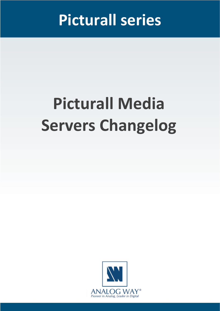## **Picturall series**

# **Picturall Media Servers Changelog**

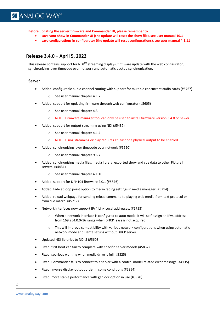**Before updating the server firmware and Commander UI, please remember to** 

- **save your show in Commander UI (the update will reset the show file), see [user manual](https://www.analogway.com/files/uploads/produit/download/user-manual-picturall-media-server.pdf) 10.1**
- **save configurations in configurator (the update will reset configurations), see [user manual](https://www.analogway.com/files/uploads/produit/download/user-manual-picturall-media-server.pdf) 4.1.11**

**SOFTWARE RELEASE NOTE**

#### **Release 3.4.0 – April 5, 2022**

This release contains support for  $NDI^{\text{TM}}$  streaming displays, firmware update with the web configurator, synchronizing layer timecode over network and automatic backup synchronization.

#### **Server**

- Added: configurable audio channel routing with support for multiple concurrent audio cards (#5767)
	- o See user manual chapter 4.1.7
- Added: support for updating firmware through web configurator (#5605)
	- o See user manual chapter 4.3
	- o NOTE: Firmware manager tool can only be used to install firmware version 3.4.0 or newer
- Added: support for output streaming using NDI (#5437)
	- o See user manual chapter 4.1.4
	- o NOTE: Using streaming display requires at least one physical output to be enabled
- Added: synchronizing layer timecode over network (#5520)
	- o See user manual chapter 9.6.7
- Added: synchronizing media files, media library, exported show and cue data to other Picturall servers. (#4431)
	- o See user manual chapter 4.1.10
- Added: support for DPH104 firmware 2.0.1 (#5876)
- Added: fade at loop point option to media fading settings in media manager (#5714)
- Added: reload webpage for sending reload command to playing web media from text protocol or from cue macro. (#5717)
- Network interfaces now support IPv4 Link-Local addresses. (#5753)
	- o When a network interface is configured to auto mode, it will self-assign an IPv4 address from 169.254.0.0/16 range when DHCP lease is not acquired.
	- $\circ$  This will improve compatibility with various network configurations when using automatic network mode and Dante setups without DHCP server.
- Updated NDI libraries to NDI 5 (#5603)
- Fixed: first boot can fail to complete with specific server models (#5837)
- Fixed: spurious warning when media drive is full (#5825)
- Fixed: Commander fails to connect to a server with a control model related error message (#4135)
- Fixed: Inverse display output order in some conditions (#5854)
- Fixed: more stable performance with genlock option in use (#5970)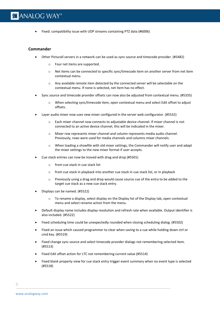• Fixed: compatibility issue with UDP streams containing PTZ data (#6006)

#### **Commander**

- Other Picturall servers in a network can be used as sync source and timecode provider. (#5482)
	- o Four net items are supported.
	- o Net items can be connected to specific sync/timecode item on another server from net item contextual menu.

**SOFTWARE RELEASE NOTE**

- o Any available remote item detected by the connected server will be selectable on the contextual menu. If none is selected, net item has no effect.
- Sync source and timecode provider offsets can now also be adjusted from contextual menu. (#5335)
	- o When selecting sync/timecode item, open contextual menu and select Edit offset to adjust offsets.
- Layer audio mixer now uses new mixer configured in the server web configurator. (#5532)
	- o Each mixer channel now connects to adjustable device channel. If mixer channel is not connected to an active device channel, this will be indicated in the mixer.
	- o Mixer row represents mixer channel and column represents media audio channel. Previously, rows were used for media channels and columns mixer channels.
	- o When loading a showfile with old mixer settings, the Commander will notify user and adapt the mixer settings to the new mixer format if user accepts.
- Cue stack entries can now be moved with drag and drop (#5501)
	- o from cue stack in cue stack list
	- o from cue stack in playback into another cue stack in cue stack list, or in playback
	- $\circ$  Previously using a drag and drop would cause source cue of the entry to be added to the target cue stack as a new cue stack entry.
- Displays can be named. (#5522)
	- $\circ$  To rename a display, select display on the Display list of the Display tab, open contextual menu and select rename action from the menu.
- Default display name includes display resolution and refresh rate when available. Output identifier is also included. (#5522)
- Fixed scheduling time could be unexpectedly rounded when closing scheduling dialog. (#5502)
- Fixed an issue which caused programmer to clear when saving to a cue while holding down ctrl or cmd key. (#5519)
- Fixed change sync source and select timecode provider dialogs not remembering selected item. (#5513)
- Fixed Edit offset action for LTC not remembering current value (#5514)
- Fixed blank property view for cue stack entry trigger event summary when no event type is selected (#5518)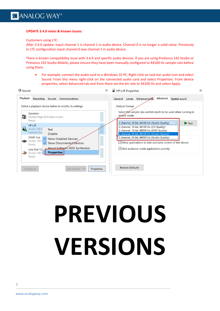#### **UPDATE 3.4.0 notes & known issues:**

Customers using LTC:

After 3.4.0 update: Input channel 1 is channel 1 in audio device. Channel 0 is no longer a valid value. Previously in LTC configuration input channel 0 was channel 1 in audio device.

**SOFTWARE RELEASE NOTE**

There is known compatibility issue with 3.4.0 and specific audio devices. If you are using PreSonus 192 Studio or Presonus 192 Studio Mobile, please ensure they have been manually configured to 44100 Hz sample rate before using them.

• For example, connect the audio card to a Windows 10 PC. Right-click on task bar audio icon and select Sound. From this menu right-click on the connected audio card and select Properties. From device properties, select Advanced tab and from there set the bit rate to 44100 Hz and select Apply.

| Sound                                                                                                                         | HP L/R Properties<br>$\times$                                                                                                                                                                           |
|-------------------------------------------------------------------------------------------------------------------------------|---------------------------------------------------------------------------------------------------------------------------------------------------------------------------------------------------------|
| Playback<br>Recording<br>Sounds<br>Communications                                                                             | Advanced<br><b>Enhancements</b><br>Spatial sound<br>Levels<br>General                                                                                                                                   |
| Select a playback device below to modify its settings:<br>Speakers<br>$\bullet$<br>Realtek High Definition Audio<br>Ready     | Default Format<br>Select the sample rate and bit depth to be used when running in<br>-<br>--<br>shared mode.<br>. .<br>-<br><br>--                                                                      |
| HP L/R<br>$\mathbf{Q}$<br>Studio 192<br>Test<br>Default Dev<br><b>Disable</b>                                                 | 2 channel, 24 bit, 44100 Hz (Studio Quality)<br>Test<br>2 channel, 16 bit, 44100 Hz (CD Quality)<br>2 channel, 16 bit, 48000 Hz (DVD Quality)<br>≕<br>ᆖ<br>2 channel, 24 bit, 44100 Hz (Studio Quality) |
| <b>SPDIF Out</b><br><b>Show Disabled Devices</b><br>Studio 192 l<br><b>Show Disconnected Devices</b><br>$\checkmark$<br>Ready | 2 channel, 24 bit, 48000 Hz (Studio Quality)<br>▄<br><b>COMMERCIAL</b><br>$=$<br>$\vee$ Allow applications to take exclusive control of this device<br>$-1$<br>$\equiv$<br>-                            |
| About Software MIDI Synthesiser<br>Line Out 1/2<br><b>Properties</b><br>Studio 1921<br>Ready                                  | $\vee$ Give exclusive mode applications priority<br><b>EXECUTIVE</b><br><b>STERNED</b><br>-<br>-<br>- 1<br>- 1<br>-<br>=                                                                                |

# **PREVIOUS VERSIONS**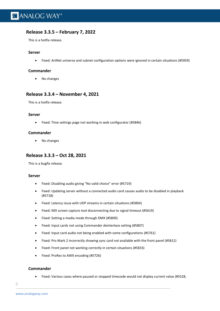#### **Release 3.3.5 – February 7, 2022**

This is a hotfix release.

#### **Server**

• Fixed: ArtNet universe and subnet configuration options were ignored in certain situations (#5959)

**SOFTWARE RELEASE NOTE**

#### **Commander**

• No changes

#### **Release 3.3.4 – November 4, 2021**

This is a hotfix release.

#### **Server**

• Fixed: Time settings page not working in web configurator (#5846)

#### **Commander**

• No changes

#### **Release 3.3.3 – Oct 28, 2021**

This is a bugfix release.

#### **Server**

- Fixed: Disabling audio giving "No valid choice" error (#5719)
- Fixed: Updating server without a connected audio card causes audio to be disabled in playback (#5718)
- Fixed: Latency issue with UDP streams in certain situations (#5804)
- Fixed: NDI screen capture tool disconnecting due to signal timeout (#5619)
- Fixed: Setting a media mode through DMX (#5809)
- Fixed: Input cards not using Commander deinterlace setting (#5807)
- Fixed: Input card audio not being enabled with some configurations (#5761)
- Fixed: Pro Mark 2 incorrectly showing sync card not available with the front panel (#5812)
- Fixed: Front panel not working correctly in certain situations (#5833)
- Fixed: ProRes to AWX encoding (#5726)

#### **Commander**

• Fixed: Various cases where paused or stopped timecode would not display current value (#5528,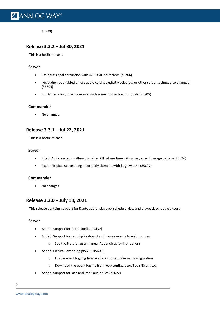#5529)

#### **Release 3.3.2 – Jul 30, 2021**

This is a hotfix release.

#### **Server**

- Fix input signal corruption with 4x HDMI input cards (#5706)
- Fix audio not enabled unless audio card is explicitly selected, or other server settings also changed (#5704)

**SOFTWARE RELEASE NOTE**

• Fix Dante failing to achieve sync with some motherboard models (#5705)

#### **Commander**

• No changes

#### **Release 3.3.1 – Jul 22, 2021**

This is a hotfix release.

#### **Server**

- Fixed: Audio system malfunction after 27h of use time with a very specific usage pattern (#5696)
- Fixed: Fix pixel space being incorrectly clamped with large widths (#5697)

#### **Commander**

• No changes

#### **Release 3.3.0 – July 13, 2021**

This release contains support for Dante audio, playback schedule view and playback schedule export.

#### **Server**

- Added: Support for Dante audio (#4432)
- Added: Support for sending keyboard and mouse events to web sources
	- o See the Picturall user manual Appendices for instructions
- Added: Picturall event log (#5516, #5606)
	- o Enable event logging from web configurator/Server configuration
	- o Download the event log file from web configurator/Tools/Event Log
- Added: Support for .aac and .mp2 audio files (#5622)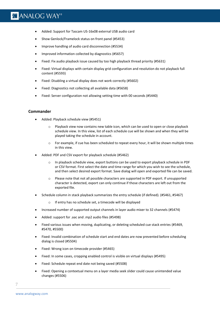## **X' ANALOG WAY®**

- Added: Support for Tascam US-16x08 external USB audio card
- Show Genlock/Framelock status on front panel (#5453)
- Improve handling of audio card disconnection (#5534)
- Improved information collected by diagnostics (#5657)
- Fixed: Fix audio playback issue caused by too high playback thread priority (#5631)
- Fixed: Virtual displays with certain display grid configuration and resolution do not playback full content (#5593)

**SOFTWARE RELEASE NOTE**

- Fixed: Disabling a virtual display does not work correctly (#5602)
- Fixed: Diagnostics not collecting all available data (#5658)
- Fixed: Server configuration not allowing setting time with 00 seconds (#5440)

#### **Commander**

- Added: Playback schedule view (#5451)
	- o Playback view now contains new table icon, which can be used to open or close playback schedule view. In this view, list of each schedule cue will be shown and when they will be played taking the schedule in account.
	- $\circ$  For example, if cue has been scheduled to repeat every hour, it will be shown multiple times in this view.
- Added: PDF and CSV export for playback schedule (#5462)
	- o In playback schedule view, export buttons can be used to export playback schedule in PDF or CSV format. First select the date and time range for which you wish to see the schedule, and then select desired export format. Save dialog will open and exported file can be saved.
	- o Please note that not all possible characters are supported in PDF export. If unsupported character is detected, export can only continue if those characters are left out from the exported file.
- Schedule column in stack playback summarizes the entry schedule (if defined). (#5461, #5467)
	- o If entry has no schedule set, a timecode will be displayed
- Increased number of supported output channels in layer audio mixer to 32 channels (#5474)
- Added: support for .aac and .mp2 audio files (#5498)
- Fixed various issues when moving, duplicating, or deleting scheduled cue stack entries (#5469, #5470, #5500)
- Fixed: Invalid combination of schedule start and end dates are now prevented before scheduling dialog is closed (#5504)
- Fixed: Wrong icon on timecode provider (#5465)
- Fixed: In some cases, cropping enabled control is visible on virtual displays (#5495)
- Fixed: Schedule repeat end date not being saved (#5508)
- Fixed: Opening a contextual menu on a layer media seek slider could cause unintended value changes (#5506)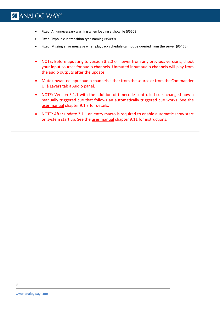## **X'I ANALOG WAY®**

- Fixed: An unnecessary warning when loading a showfile (#5503)
- Fixed: Typo in cue transition type naming (#5499)
- Fixed: Missing error message when playback schedule cannot be queried from the server (#5466)

**SOFTWARE RELEASE NOTE**

- NOTE: Before updating to version 3.2.0 or newer from any previous versions, check your input sources for audio channels. Unmuted input audio channels will play from the audio outputs after the update.
- Mute unwanted input audio channels either from the source or from the Commander UI à Layers tab à Audio panel.
- NOTE: Version 3.1.1 with the addition of timecode-controlled cues changed how a manually triggered cue that follows an automatically triggered cue works. See the [user manual](https://www.analogway.com/files/uploads/produit/download/user-manual-picturall-media-server.pdf) chapter 9.1.3 for details.
- NOTE: After update 3.1.1 an entry macro is required to enable automatic show start on system start up. See the [user manual](https://www.analogway.com/files/uploads/produit/download/user-manual-picturall-media-server.pdf) chapter 9.11 for instructions.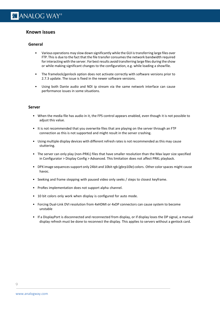#### **Known issues**

#### **General**

• Various operations may slow down significantly while the GUI istransferring large files over FTP. This is due to the fact that the file transfer consumes the network bandwidth required for interacting with the server. For best results avoid transferring large files during the show or while making significant changes to the configuration, e.g. while loading a showfile.

**SOFTWARE RELEASE NOTE**

- The framelock/genlock option does not activate correctly with software versions prior to 2.7.3 update. The issue is fixed in the newer software versions.
- Using both Dante audio and NDI ip stream via the same network interface can cause performance issues in some situations.

#### **Server**

- When the media file has audio in it, the FPS control appears enabled, even though it is not possible to adjust this value.
- It is not recommended that you overwrite files that are playing on the server through an FTP connection as this is not supported and might result in the server crashing.
- Using multiple display devices with different refresh rates is not recommended as this may cause stuttering.
- The server can only play (non-PRKL) files that have smaller resolution than the Max layer size specified in Configurator > Display Config > Advanced. This limitation does not affect PRKL playback.
- DPX image sequences support only 24bit and 10bit rgb (gbrp10le) colors. Other color spaces might cause havoc.
- Seeking and frame stepping with paused video only seeks / steps to closest keyframe.
- ProRes implementation does not support alpha channel.
- 10 bit colors only work when display is configured for auto mode.
- Forcing Dual-Link DVI resolution from 4xHDMI or 4xDP connectors can cause system to become unstable
- If a DisplayPort is disconnected and reconnected from display, or if display loses the DP signal, a manual display refresh must be done to reconnect the display. This applies to servers without a genlock card.